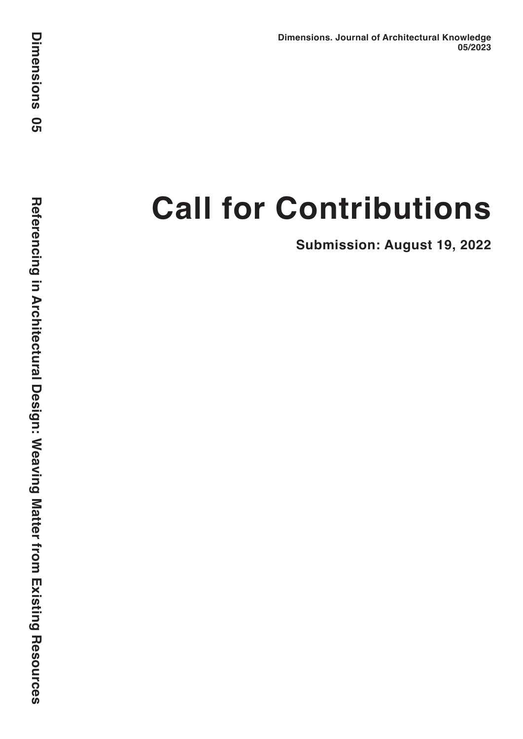# **Call for Contributions**

**Submission: August 19, 2022**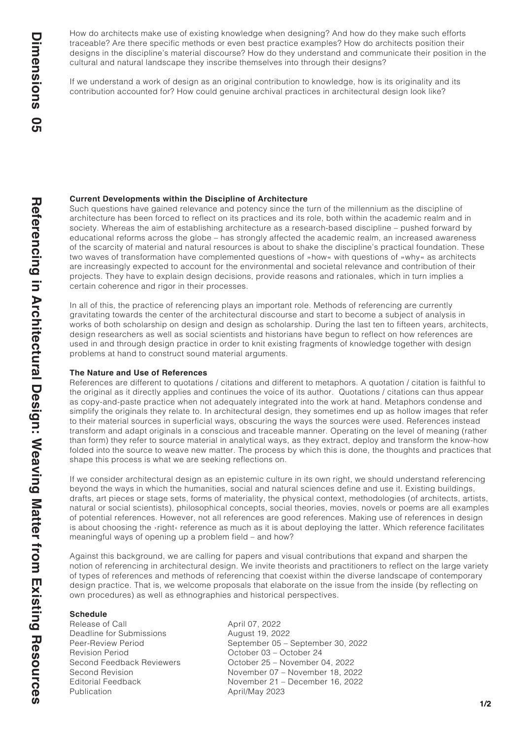How do architects make use of existing knowledge when designing? And how do they make such efforts traceable? Are there specific methods or even best practice examples? How do architects position their designs in the discipline's material discourse? How do they understand and communicate their position in the cultural and natural landscape they inscribe themselves into through their designs?

If we understand a work of design as an original contribution to knowledge, how is its originality and its contribution accounted for? How could genuine archival practices in architectural design look like?

#### **Current Developments within the Discipline of Architecture**

Such questions have gained relevance and potency since the turn of the millennium as the discipline of architecture has been forced to reflect on its practices and its role, both within the academic realm and in society. Whereas the aim of establishing architecture as a research-based discipline – pushed forward by educational reforms across the globe – has strongly affected the academic realm, an increased awareness of the scarcity of material and natural resources is about to shake the discipline's practical foundation. These two waves of transformation have complemented questions of »how« with questions of »why« as architects are increasingly expected to account for the environmental and societal relevance and contribution of their projects. They have to explain design decisions, provide reasons and rationales, which in turn implies a certain coherence and rigor in their processes.

In all of this, the practice of referencing plays an important role. Methods of referencing are currently gravitating towards the center of the architectural discourse and start to become a subject of analysis in works of both scholarship on design and design as scholarship. During the last ten to fifteen years, architects, design researchers as well as social scientists and historians have begun to reflect on how references are used in and through design practice in order to knit existing fragments of knowledge together with design problems at hand to construct sound material arguments.

#### **The Nature and Use of References**

References are different to quotations / citations and different to metaphors. A quotation / citation is faithful to the original as it directly applies and continues the voice of its author. Quotations / citations can thus appear as copy-and-paste practice when not adequately integrated into the work at hand. Metaphors condense and simplify the originals they relate to. In architectural design, they sometimes end up as hollow images that refer to their material sources in superficial ways, obscuring the ways the sources were used. References instead transform and adapt originals in a conscious and traceable manner. Operating on the level of meaning (rather than form) they refer to source material in analytical ways, as they extract, deploy and transform the know-how folded into the source to weave new matter. The process by which this is done, the thoughts and practices that shape this process is what we are seeking reflections on.

If we consider architectural design as an epistemic culture in its own right, we should understand referencing beyond the ways in which the humanities, social and natural sciences define and use it. Existing buildings, drafts, art pieces or stage sets, forms of materiality, the physical context, methodologies (of architects, artists, natural or social scientists), philosophical concepts, social theories, movies, novels or poems are all examples of potential references. However, not all references are good references. Making use of references in design is about choosing the *vright* reference as much as it is about deploying the latter. Which reference facilitates meaningful ways of opening up a problem field – and how?

Against this background, we are calling for papers and visual contributions that expand and sharpen the notion of referencing in architectural design. We invite theorists and practitioners to reflect on the large variety of types of references and methods of referencing that coexist within the diverse landscape of contemporary design practice. That is, we welcome proposals that elaborate on the issue from the inside (by reflecting on own procedures) as well as ethnographies and historical perspectives.

# **Schedule**<br>Release of Call

Deadline for Submissions Revision Period Corober 03 – October 24 Publication **April/May 2023** 

April 07, 2022<br>August 19, 2022 Peer-Review Period September 05 – September 30, 2022 Second Feedback Reviewers October 25 – November 04, 2022 Second Revision **November 07 – November 18, 2022**<br>Editorial Feedback **November 21 – December 16, 2022** November 21 – December 16, 2022